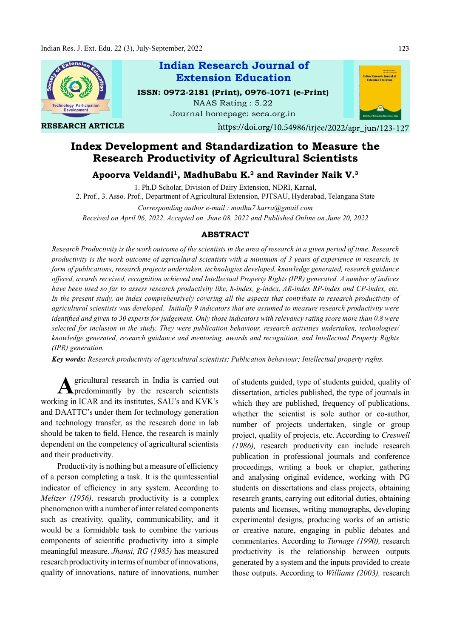

RESEARCH ARTICLE

## Indian Research Journal of ISSN: 0972-2181 (Print), 0976-1071 (e-Print) Extension Education

NAAS Rating : 5.22 Journal homepage: seea.org.in



https://doi.org/10.54986/irjee/2022/apr\_jun/123-127

# Index Development and Standardization to Measure the Research Productivity of Agricultural Scientists

Apoorva Veldandi<sup>1</sup>, MadhuBabu K.<sup>2</sup> and Ravinder Naik V.<sup>3</sup>

1. Ph.D Scholar, Division of Dairy Extension, NDRI, Karnal, 2. Prof., 3. Asso. Prof., Department of Agricultural Extension, PJTSAU, Hyderabad, Telangana State

Corresponding author e-mail : madhu7.karra@gmail.com Received on April 06, 2022, Accepted on June 08, 2022 and Published Online on June 20, 2022

### ABSTRACT

Research Productivity is the work outcome of the scientists in the area of research in a given period of time. Research productivity is the work outcome of agricultural scientists with a minimum of 3 years of experience in research, in form of publications, research projects undertaken, technologies developed, knowledge generated, research guidance offered, awards received, recognition achieved and Intellectual Property Rights (IPR) generated. A number of indices have been used so far to assess research productivity like, h-index, g-index, AR-index RP-index and CP-index, etc. In the present study, an index comprehensively covering all the aspects that contribute to research productivity of agricultural scientists was developed. Initially 9 indicators that are assumed to measure research productivity were identified and given to 30 experts for judgement. Only those indicators with relevancy rating score more than 0.8 were selected for inclusion in the study. They were publication behaviour, research activities undertaken, technologies/ knowledge generated, research guidance and mentoring, awards and recognition, and Intellectual Property Rights (IPR) generation.

Key words: Research productivity of agricultural scientists; Publication behaviour; Intellectual property rights.

A gricultural research in India is carried out of students guitared predominantly by the research scientists dissertation, and gricultural research in India is carried out working in ICAR and its institutes, SAU's and KVK's and DAATTC's under them for technology generation and technology transfer, as the research done in lab should be taken to field. Hence, the research is mainly dependent on the competency of agricultural scientists and their productivity.

Productivity is nothing but a measure of efficiency of a person completing a task. It is the quintessential indicator of efficiency in any system. According to Meltzer (1956), research productivity is a complex phenomenon with a number of inter related components such as creativity, quality, communicability, and it would be a formidable task to combine the various components of scientific productivity into a simple meaningful measure. Jhansi, RG (1985) has measured research productivity in terms of number of innovations, quality of innovations, nature of innovations, number

of students guided, type of students guided, quality of dissertation, articles published, the type of journals in which they are published, frequency of publications, whether the scientist is sole author or co-author, number of projects undertaken, single or group project, quality of projects, etc. According to Creswell (1986), research productivity can include research publication in professional journals and conference proceedings, writing a book or chapter, gathering and analysing original evidence, working with PG students on dissertations and class projects, obtaining research grants, carrying out editorial duties, obtaining patents and licenses, writing monographs, developing experimental designs, producing works of an artistic or creative nature, engaging in public debates and commentaries. According to Turnage (1990), research productivity is the relationship between outputs generated by a system and the inputs provided to create those outputs. According to Williams (2003), research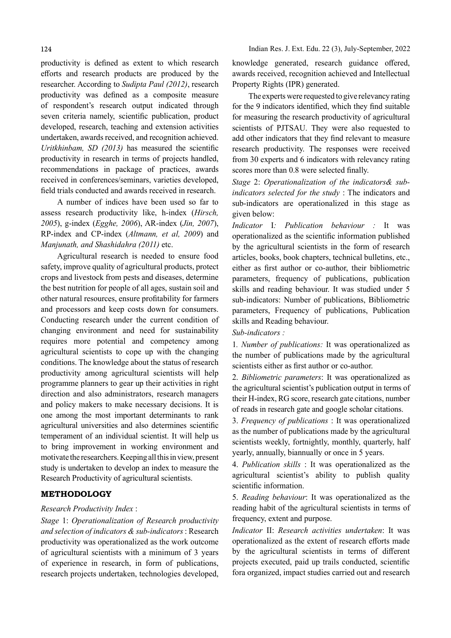productivity is defined as extent to which research efforts and research products are produced by the researcher. According to Sudipta Paul (2012), research productivity was defined as a composite measure of respondent's research output indicated through seven criteria namely, scientific publication, product developed, research, teaching and extension activities undertaken, awards received, and recognition achieved. Uritkhinbam, SD  $(2013)$  has measured the scientific productivity in research in terms of projects handled, recommendations in package of practices, awards received in conferences/seminars, varieties developed, field trials conducted and awards received in research.

A number of indices have been used so far to assess research productivity like, h-index (Hirsch, 2005), g-index (Egghe, 2006), AR-index (Jin, 2007), RP-index and CP-index (Altmann, et al, 2009) and Manjunath, and Shashidahra (2011) etc.

Agricultural research is needed to ensure food safety, improve quality of agricultural products, protect crops and livestock from pests and diseases, determine the best nutrition for people of all ages, sustain soil and other natural resources, ensure profitability for farmers and processors and keep costs down for consumers. Conducting research under the current condition of changing environment and need for sustainability requires more potential and competency among agricultural scientists to cope up with the changing conditions. The knowledge about the status of research productivity among agricultural scientists will help programme planners to gear up their activities in right direction and also administrators, research managers and policy makers to make necessary decisions. It is one among the most important determinants to rank agricultural universities and also determines scientific temperament of an individual scientist. It will help us to bring improvement in working environment and motivate the researchers. Keeping all this in view, present study is undertaken to develop an index to measure the Research Productivity of agricultural scientists.

## METHODOLOGY

#### Research Productivity Index :

Stage 1: Operationalization of Research productivity and selection of indicators & sub-indicators : Research productivity was operationalized as the work outcome of agricultural scientists with a minimum of 3 years of experience in research, in form of publications, research projects undertaken, technologies developed, knowledge generated, research guidance offered, awards received, recognition achieved and Intellectual Property Rights (IPR) generated.

The experts were requested to give relevancy rating for the 9 indicators identified, which they find suitable for measuring the research productivity of agricultural scientists of PJTSAU. They were also requested to add other indicators that they find relevant to measure research productivity. The responses were received from 30 experts and 6 indicators with relevancy rating scores more than 0.8 were selected finally.

Stage 2: Operationalization of the indicators& subindicators selected for the study : The indicators and sub-indicators are operationalized in this stage as given below:

Indicator I: Publication behaviour : It was operationalized as the scientific information published by the agricultural scientists in the form of research articles, books, book chapters, technical bulletins, etc., either as first author or co-author, their bibliometric parameters, frequency of publications, publication skills and reading behaviour. It was studied under 5 sub-indicators: Number of publications, Bibliometric parameters, Frequency of publications, Publication skills and Reading behaviour.

#### Sub-indicators :

1. Number of publications: It was operationalized as the number of publications made by the agricultural scientists either as first author or co-author.

2. Bibliometric parameters: It was operationalized as the agricultural scientist's publication output in terms of their H-index, RG score, research gate citations, number of reads in research gate and google scholar citations.

3. Frequency of publications : It was operationalized as the number of publications made by the agricultural scientists weekly, fortnightly, monthly, quarterly, half yearly, annually, biannually or once in 5 years.

4. Publication skills : It was operationalized as the agricultural scientist's ability to publish quality scientific information.

5. Reading behaviour: It was operationalized as the reading habit of the agricultural scientists in terms of frequency, extent and purpose.

Indicator II: Research activities undertaken: It was operationalized as the extent of research efforts made by the agricultural scientists in terms of different projects executed, paid up trails conducted, scientific fora organized, impact studies carried out and research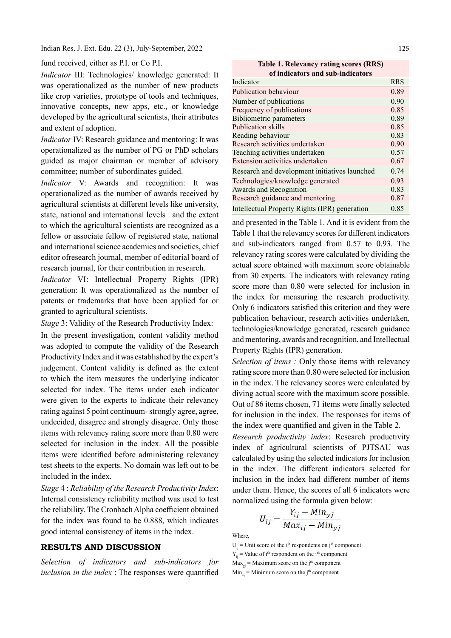Indian Res. J. Ext. Edu. 22 (3), July-September, 2022

fund received, either as P.I. or Co P.I.

Indicator III: Technologies/ knowledge generated: It was operationalized as the number of new products like crop varieties, prototype of tools and techniques, innovative concepts, new apps, etc., or knowledge developed by the agricultural scientists, their attributes and extent of adoption.

Indicator IV: Research guidance and mentoring: It was operationalized as the number of PG or PhD scholars guided as major chairman or member of advisory committee; number of subordinates guided.

Indicator V: Awards and recognition: It was operationalized as the number of awards received by agricultural scientists at different levels like university, state, national and international levels and the extent to which the agricultural scientists are recognized as a fellow or associate fellow of registered state, national and international science academies and societies, chief editor ofresearch journal, member of editorial board of research journal, for their contribution in research.

Indicator VI: Intellectual Property Rights (IPR) generation: It was operationalized as the number of patents or trademarks that have been applied for or granted to agricultural scientists.

Stage 3: Validity of the Research Productivity Index:

In the present investigation, content validity method was adopted to compute the validity of the Research Productivity Index and it was established by the expert's judgement. Content validity is defined as the extent to which the item measures the underlying indicator selected for index. The items under each indicator were given to the experts to indicate their relevancy rating against 5 point continuum- strongly agree, agree, undecided, disagree and strongly disagree. Only those items with relevancy rating score more than 0.80 were selected for inclusion in the index. All the possible items were identified before administering relevancy test sheets to the experts. No domain was left out to be included in the index.

Stage 4 : Reliability of the Research Productivity Index: Internal consistency reliability method was used to test the reliability. The Cronbach Alpha coefficient obtained for the index was found to be 0.888, which indicates good internal consistency of items in the index.

## RESULTS AND DISCUSSION

Selection of indicators and sub-indicators for  $inclusion$  in the index : The responses were quantified

Table 1. Relevancy rating scores (RRS) of indicators and sub-indicators

| Indicator                                     | <b>RRS</b> |
|-----------------------------------------------|------------|
| Publication behaviour                         | 0.89       |
| Number of publications                        | 0.90       |
| Frequency of publications                     | 0.85       |
| <b>Bibliometric parameters</b>                | 0.89       |
| Publication skills                            | 0.85       |
| Reading behaviour                             | 0.83       |
| Research activities undertaken                | 0.90       |
| Teaching activities undertaken                | 0.57       |
| Extension activities undertaken               | 0.67       |
| Research and development initiatives launched | 0.74       |
| Technologies/knowledge generated              | 0.93       |
| Awards and Recognition                        | 0.83       |
| Research guidance and mentoring               | 0.87       |
| Intellectual Property Rights (IPR) generation | 0.85       |
|                                               |            |

and presented in the Table 1. And it is evident from the Table 1 that the relevancy scores for different indicators and sub-indicators ranged from 0.57 to 0.93. The relevancy rating scores were calculated by dividing the actual score obtained with maximum score obtainable from 30 experts. The indicators with relevancy rating score more than 0.80 were selected for inclusion in the index for measuring the research productivity. Only 6 indicators satisfied this criterion and they were publication behaviour, research activities undertaken, technologies/knowledge generated, research guidance and mentoring, awards and recognition, and Intellectual Property Rights (IPR) generation.

Selection of items: Only those items with relevancy rating score more than 0.80 were selected for inclusion in the index. The relevancy scores were calculated by diving actual score with the maximum score possible. Out of 86 items chosen, 71 items were finally selected for inclusion in the index. The responses for items of the index were quantified and given in the Table 2.

Research productivity index: Research productivity index of agricultural scientists of PJTSAU was calculated by using the selected indicators for inclusion in the index. The different indicators selected for inclusion in the index had different number of items under them. Hence, the scores of all 6 indicators were normalized using the formula given below:

$$
U_{ij} = \frac{Y_{ij} - Min_{yj}}{Max_{ij} - Min_{yj}}
$$

Where,

 $U_{ii}$  = Unit score of the i<sup>th</sup> respondents on j<sup>th</sup> component

 $Y_i$  = Value of i<sup>th</sup> respondent on the j<sup>th</sup> component

 $Max_{yi}$  = Maximum score on the j<sup>th</sup> component

 $Min_{i,j}$  = Minimum score on the j<sup>th</sup> component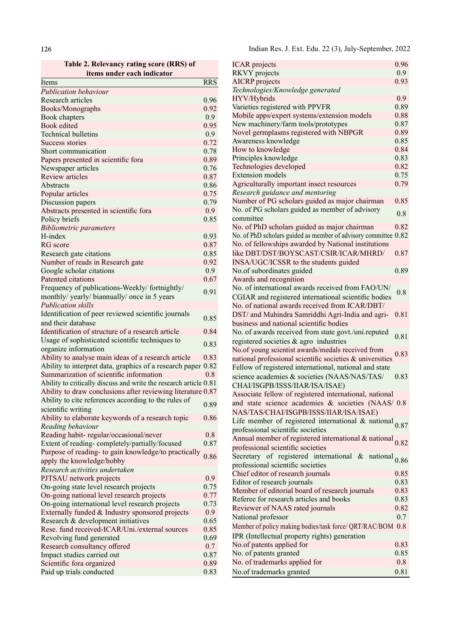Table 2. Relevancy rating score (RRS) of

| items under each indicator                                        | RKVY projects    |                                                                    |
|-------------------------------------------------------------------|------------------|--------------------------------------------------------------------|
| Items                                                             | <b>RRS</b>       | <b>AICRP</b> projects                                              |
| <b>Publication behaviour</b>                                      |                  | Technologies/Knowledge generated                                   |
| Research articles                                                 | 0.96             | HYV/Hybrids                                                        |
| Books/Monographs                                                  | 0.92             | Varieties registered with PPVFR                                    |
| Book chapters                                                     | 0.9              | Mobile apps/expert systems/extension                               |
| Book edited                                                       | 0.95             | New machinery/farm tools/prototypes                                |
| <b>Technical bulletins</b>                                        | 0.9              | Novel germplasms registered with NBI                               |
| Success stories                                                   | 0.72             | Awareness knowledge                                                |
| Short communication                                               | 0.78             | How to knowledge                                                   |
| Papers presented in scientific fora                               | 0.89             | Principles knowledge                                               |
| Newspaper articles                                                | 0.76             | Technologies developed                                             |
| Review articles                                                   | 0.87             | <b>Extension</b> models                                            |
| Abstracts                                                         | 0.86             | Agriculturally important insect resourc                            |
| Popular articles                                                  | 0.75             | Research guidance and mentoring                                    |
| Discussion papers                                                 | 0.79             | Number of PG scholars guided as majo                               |
| Abstracts presented in scientific fora                            | 0.9              | No. of PG scholars guided as member o                              |
| Policy briefs                                                     | 0.85             | committee                                                          |
| <b>Bibliometric parameters</b>                                    |                  | No. of PhD scholars guided as major cl                             |
| H-index                                                           | 0.93             | No. of PhD scholars guided as member of adv                        |
| RG score                                                          | 0.87             | No. of fellowships awarded by Nationa                              |
| Research gate citations                                           | 0.85             | like DBT/DST/BOYSCAST/CSIR/ICA                                     |
| Number of reads in Research gate                                  | 0.92             | INSA/UGC/ICSSR to the students guid                                |
| Google scholar citations                                          | 0.9              | No.of subordinates guided                                          |
| Patented citations                                                | 0.67             |                                                                    |
|                                                                   |                  | Awards and recognition<br>No. of international awards received fre |
| Frequency of publications-Weekly/fortnightly/                     | 0.91             |                                                                    |
| monthly/ yearly/ biannually/ once in 5 years                      |                  | CGIAR and registered international sci                             |
| <b>Publication skills</b>                                         |                  | No. of national awards received from I                             |
| Identification of peer reviewed scientific journals               | 0.85             | DST/ and Mahindra Samriddhi Agri-In                                |
| and their database                                                |                  | business and national scientific bodies                            |
| Identification of structure of a research article                 | 0.84             | No. of awards received from state govt                             |
| Usage of sophisticated scientific techniques to                   | 0.83             | registered societies & agro industries                             |
| organize information                                              |                  | No.of young scientist awards/medals rec                            |
| Ability to analyse main ideas of a research article               | 0.83             | national professional scientific societies                         |
| Ability to interpret data, graphics of a research paper 0.82      |                  | Fellow of registered international, natio                          |
| Summarization of scientific information                           | 0.8              | science academies & societies (NAAS/                               |
| Ability to critically discuss and write the research article 0.81 |                  | CHAI/ISGPB/ISSS/IIAR/ISA/ISAE)                                     |
| Ability to draw conclusions after reviewing literature 0.87       |                  | Associate fellow of registered internati                           |
| Ability to cite references according to the rules of              | 0.89             | and state science academies & soci                                 |
| scientific writing                                                |                  | NAS/TAS/CHAI/ISGPB/ISSS/IIAR/IS                                    |
| Ability to elaborate keywords of a research topic                 | 0.86             | Life member of registered internation                              |
| Reading behaviour                                                 |                  | professional scientific societies                                  |
| Reading habit-regular/occasional/never                            | 0.8              | Annual member of registered internatio                             |
| Extent of reading-completely/partially/focused                    | 0.87             |                                                                    |
| Purpose of reading- to gain knowledge/to practically              |                  | professional scientific societies                                  |
| apply the knowledge/hobby                                         | 0.86             | Secretary of registered international                              |
| Research activities undertaken                                    |                  | professional scientific societies                                  |
| PJTSAU network projects                                           | 0.9              | Chief editor of research journals                                  |
| On-going state level research projects                            | 0.75             | Editor of research journals                                        |
| On-going national level research projects                         | 0.77             | Member of editorial board of research                              |
| On-going international level research projects                    | 0.73             | Referee for research articles and books                            |
| Externally funded & Industry sponsored projects                   | 0.9 <sub>o</sub> | Reviewer of NAAS rated journals                                    |
| Research & development initiatives                                | 0.65             | National professor                                                 |
| Rese. fund received-ICAR/Uni./external sources                    | 0.85             | Member of policy making bodies/task force/ (                       |
| Revolving fund generated                                          | 0.69             | IPR (Intellectual property rights) gener                           |
| Research consultancy offered                                      | 0.7              | No.of patents applied for                                          |
| Impact studies carried out                                        | 0.87             | No. of patents granted                                             |
| Scientific fora organized                                         | 0.89             | No. of trademarks applied for                                      |
| Paid up trials conducted                                          | 0.83             | No.of trademarks granted                                           |
|                                                                   |                  |                                                                    |

| <b>ICAR</b> projects                                                          | 0.96 |
|-------------------------------------------------------------------------------|------|
| <b>RKVY</b> projects                                                          | 0.9  |
| <b>AICRP</b> projects                                                         | 0.93 |
| Technologies/Knowledge generated                                              |      |
| HYV/Hybrids                                                                   | 0.9  |
| Varieties registered with PPVFR                                               | 0.89 |
| Mobile apps/expert systems/extension models                                   | 0.88 |
| New machinery/farm tools/prototypes                                           | 0.87 |
| Novel germplasms registered with NBPGR                                        | 0.89 |
| Awareness knowledge                                                           | 0.85 |
| How to knowledge                                                              | 0.84 |
| Principles knowledge                                                          | 0.83 |
| Technologies developed                                                        | 0.82 |
| <b>Extension models</b>                                                       | 0.75 |
| Agriculturally important insect resources                                     | 0.79 |
| Research guidance and mentoring                                               |      |
| Number of PG scholars guided as major chairman                                | 0.85 |
| No. of PG scholars guided as member of advisory                               | 0.8  |
| committee                                                                     |      |
| No. of PhD scholars guided as major chairman                                  | 0.82 |
| No. of PhD scholars guided as member of advisory committee 0.82               |      |
| No. of fellowships awarded by National institutions                           |      |
| like DBT/DST/BOYSCAST/CSIR/ICAR/MHRD/                                         | 0.87 |
| INSA/UGC/ICSSR to the students guided                                         |      |
| No.of subordinates guided                                                     | 0.89 |
| Awards and recognition                                                        |      |
| No. of international awards received from FAO/UN/                             | 0.8  |
| CGIAR and registered international scientific bodies                          |      |
| No. of national awards received from ICAR/DBT/                                |      |
| DST/ and Mahindra Samriddhi Agri-India and agri-                              | 0.81 |
| business and national scientific bodies                                       |      |
| No. of awards received from state govt./uni.reputed                           |      |
| registered societies & agro industries                                        | 0.81 |
| No.of young scientist awards/medals received from                             |      |
| national professional scientific societies & universities                     | 0.83 |
| Fellow of registered international, national and state                        |      |
| science academies & societies (NAAS/NAS/TAS/                                  | 0.83 |
| CHAI/ISGPB/ISSS/IIAR/ISA/ISAE)                                                |      |
| Associate fellow of registered international, national                        |      |
| and state science academies & societies (NAAS/ 0.8)                           |      |
| NAS/TAS/CHAI/ISGPB/ISSS/IIAR/ISA/ISAE)                                        |      |
| Life member of registered international & national $_{0.87}$                  |      |
| professional scientific societies                                             |      |
| Annual member of registered international & national $_{0.82}$                |      |
| professional scientific societies                                             |      |
|                                                                               |      |
| Secretary of registered international & national $0.86$                       |      |
| professional scientific societies                                             |      |
| Chief editor of research journals                                             | 0.85 |
| Editor of research journals<br>Member of editorial board of research journals | 0.83 |
|                                                                               | 0.83 |
| Referee for research articles and books                                       | 0.83 |
| Reviewer of NAAS rated journals                                               | 0.82 |
| National professor                                                            | 0.7  |
| Member of policy making bodies/task force/ QRT/RAC/BOM 0.8                    |      |
| IPR (Intellectual property rights) generation                                 |      |
| No.of patents applied for                                                     | 0.83 |
| No. of patents granted                                                        | 0.85 |
| No. of trademarks applied for                                                 | 0.8  |
| No.of trademarks granted                                                      | 0.81 |